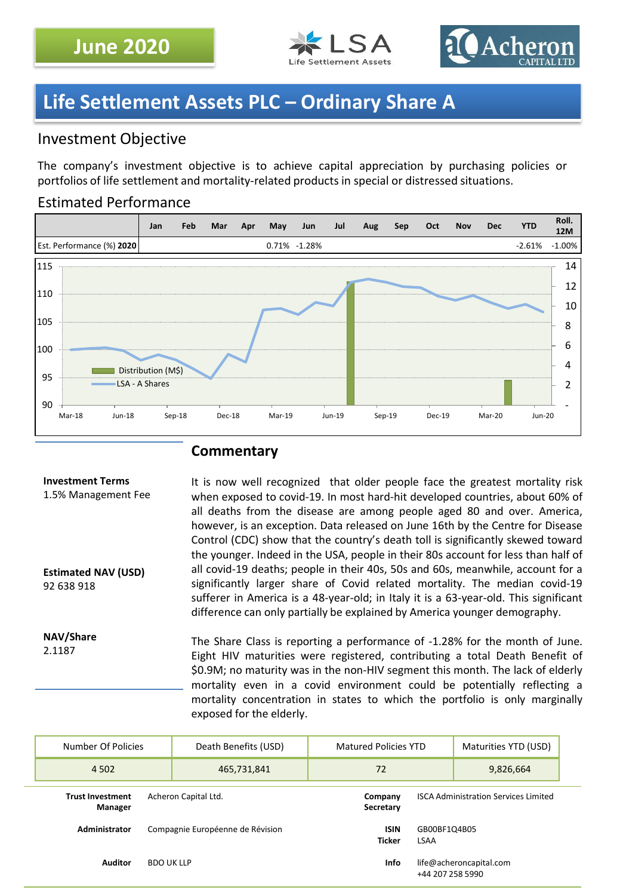



# **Life Settlement Assets PLC – Ordinary Share A**

## Investment Objective

The company's investment objective is to achieve capital appreciation by purchasing policies or portfolios of life settlement and mortality-related products in special or distressed situations.

## Estimated Performance



## **Commentary**

#### **Investment Terms** 1.5% Management Fee **Estimated NAV (USD)** 92 638 918 It is now well recognized that older people face the greatest mortality risk when exposed to covid-19. In most hard-hit developed countries, about 60% of all deaths from the disease are among people aged 80 and over. America, however, is an exception. Data released on June 16th by the Centre for Disease Control (CDC) show that the country's death toll is significantly skewed toward the younger. Indeed in the USA, people in their 80s account for less than half of all covid-19 deaths; people in their 40s, 50s and 60s, meanwhile, account for a significantly larger share of Covid related mortality. The median covid-19 sufferer in America is a 48-year-old; in Italy it is a 63-year-old. This significant difference can only partially be explained by America younger demography.

**NAV/Share** 2.1187 The Share Class is reporting a performance of -1.28% for the month of June. Eight HIV maturities were registered, contributing a total Death Benefit of \$0.9M; no maturity was in the non-HIV segment this month. The lack of elderly mortality even in a covid environment could be potentially reflecting a mortality concentration in states to which the portfolio is only marginally exposed for the elderly.

| Number Of Policies                                         | Death Benefits (USD)             | <b>Matured Policies YTD</b>                 |                                             | Maturities YTD (USD) |  |
|------------------------------------------------------------|----------------------------------|---------------------------------------------|---------------------------------------------|----------------------|--|
| 4 5 0 2                                                    | 465,731,841                      | 72                                          |                                             | 9,826,664            |  |
| <b>Trust Investment</b><br>Acheron Capital Ltd.<br>Manager | Company<br>Secretary             | <b>ISCA Administration Services Limited</b> |                                             |                      |  |
| Administrator                                              | Compagnie Européenne de Révision | <b>ISIN</b><br><b>Ticker</b>                | GB00BF1Q4B05<br><b>LSAA</b>                 |                      |  |
| <b>Auditor</b>                                             | <b>BDO UK LLP</b>                | <b>Info</b>                                 | life@acheroncapital.com<br>+44 207 258 5990 |                      |  |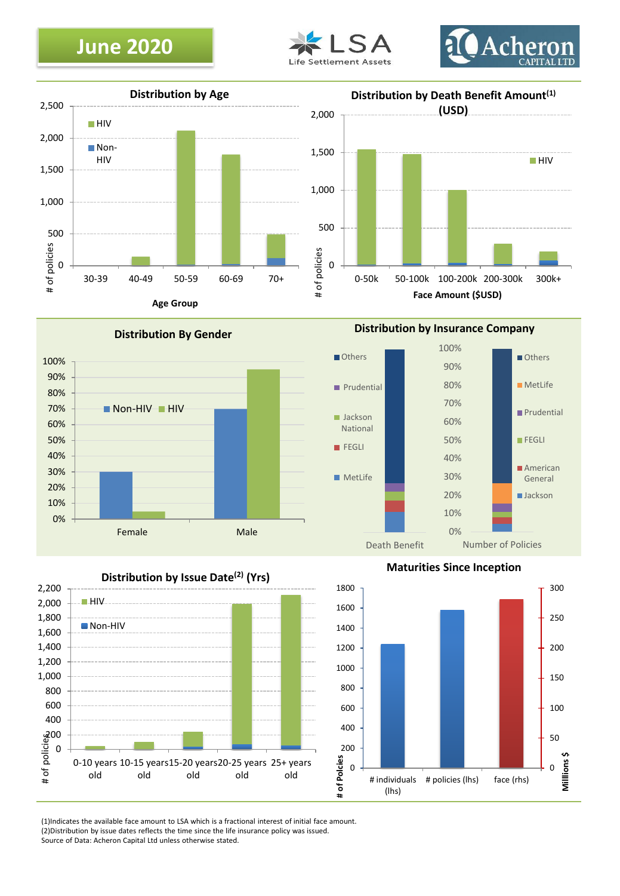# **June 2020**











**Distribution by Insurance Company**





**Maturities Since Inception**



(1)Indicates the available face amount to LSA which is a fractional interest of initial face amount. (2)Distribution by issue dates reflects the time since the life insurance policy was issued. Source of Data: Acheron Capital Ltd unless otherwise stated.